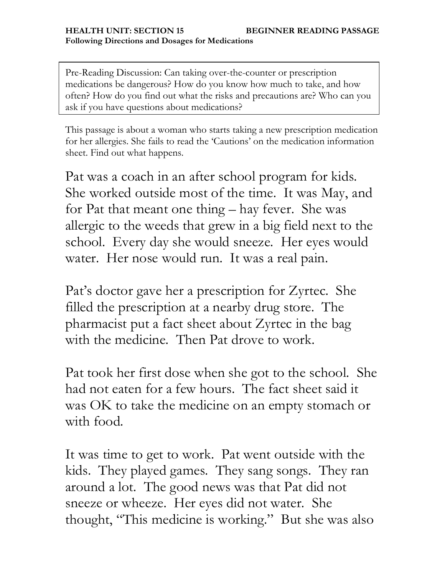Pre-Reading Discussion: Can taking over-the-counter or prescription medications be dangerous? How do you know how much to take, and how often? How do you find out what the risks and precautions are? Who can you ask if you have questions about medications?

This passage is about a woman who starts taking a new prescription medication for her allergies. She fails to read the "Cautions" on the medication information sheet. Find out what happens.

Pat was a coach in an after school program for kids. She worked outside most of the time. It was May, and for Pat that meant one thing – hay fever. She was allergic to the weeds that grew in a big field next to the school. Every day she would sneeze. Her eyes would water. Her nose would run. It was a real pain.

Pat's doctor gave her a prescription for Zyrtec. She filled the prescription at a nearby drug store. The pharmacist put a fact sheet about Zyrtec in the bag with the medicine. Then Pat drove to work.

Pat took her first dose when she got to the school. She had not eaten for a few hours. The fact sheet said it was OK to take the medicine on an empty stomach or with food.

It was time to get to work. Pat went outside with the kids. They played games. They sang songs. They ran around a lot. The good news was that Pat did not sneeze or wheeze. Her eyes did not water. She thought, "This medicine is working." But she was also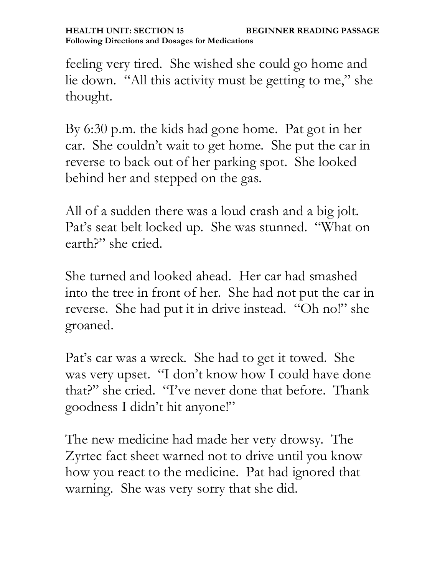feeling very tired. She wished she could go home and lie down. "All this activity must be getting to me," she thought.

By 6:30 p.m. the kids had gone home. Pat got in her car. She couldn"t wait to get home. She put the car in reverse to back out of her parking spot. She looked behind her and stepped on the gas.

All of a sudden there was a loud crash and a big jolt. Pat's seat belt locked up. She was stunned. "What on earth?" she cried.

She turned and looked ahead. Her car had smashed into the tree in front of her. She had not put the car in reverse. She had put it in drive instead. "Oh no!" she groaned.

Pat's car was a wreck. She had to get it towed. She was very upset. "I don"t know how I could have done that?" she cried. "I"ve never done that before. Thank goodness I didn"t hit anyone!"

The new medicine had made her very drowsy. The Zyrtec fact sheet warned not to drive until you know how you react to the medicine. Pat had ignored that warning. She was very sorry that she did.